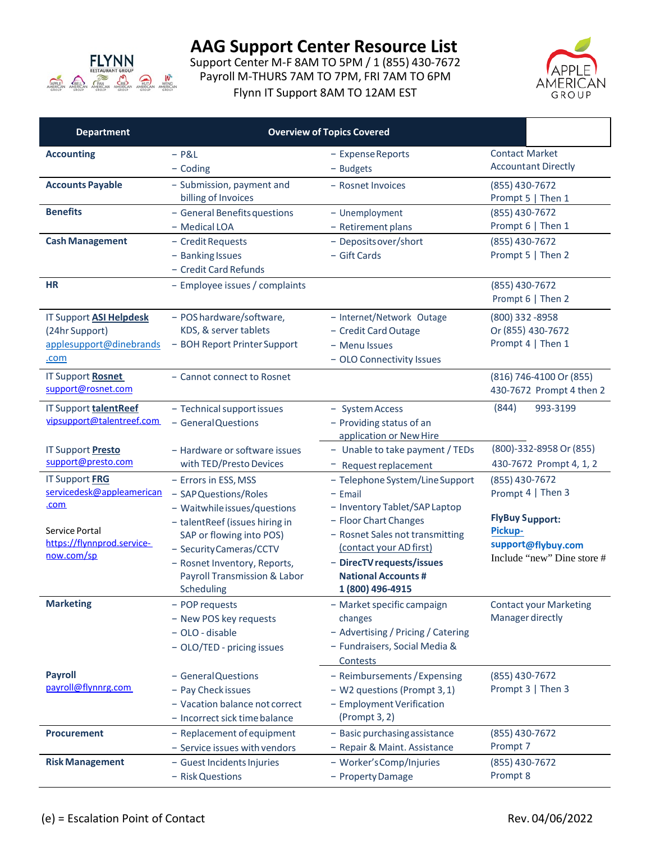

Support Center M-F 8AM TO 5PM / 1 (855) 430-7672 Payroll M-THURS 7AM TO 7PM, FRI 7AM TO 6PM Flynn IT Support 8AM TO 12AM EST



| <b>Department</b>                                                                   | <b>Overview of Topics Covered</b>                                                                                                                                   |                                                                                                                                                                    |                                                                                              |  |
|-------------------------------------------------------------------------------------|---------------------------------------------------------------------------------------------------------------------------------------------------------------------|--------------------------------------------------------------------------------------------------------------------------------------------------------------------|----------------------------------------------------------------------------------------------|--|
| <b>Accounting</b>                                                                   | $-$ P&L<br>$-$ Coding                                                                                                                                               | - Expense Reports<br>- Budgets                                                                                                                                     | <b>Contact Market</b><br><b>Accountant Directly</b>                                          |  |
| <b>Accounts Payable</b>                                                             | - Submission, payment and<br>billing of Invoices                                                                                                                    | - Rosnet Invoices                                                                                                                                                  | (855) 430-7672<br>Prompt 5   Then 1                                                          |  |
| <b>Benefits</b>                                                                     | - General Benefits questions<br>- Medical LOA                                                                                                                       | - Unemployment<br>- Retirement plans                                                                                                                               | (855) 430-7672<br>Prompt 6   Then 1                                                          |  |
| <b>Cash Management</b>                                                              | - Credit Requests<br>- Banking Issues<br>- Credit Card Refunds                                                                                                      | - Deposits over/short<br>- Gift Cards                                                                                                                              | (855) 430-7672<br>Prompt 5   Then 2                                                          |  |
| <b>HR</b>                                                                           | - Employee issues / complaints                                                                                                                                      |                                                                                                                                                                    | (855) 430-7672<br>Prompt 6   Then 2                                                          |  |
| <b>IT Support ASI Helpdesk</b><br>(24hr Support)<br>applesupport@dinebrands<br>.com | - POS hardware/software,<br>KDS, & server tablets<br>- BOH Report Printer Support                                                                                   | - Internet/Network Outage<br>- Credit Card Outage<br>- Menu Issues<br>- OLO Connectivity Issues                                                                    | (800) 332-8958<br>Or (855) 430-7672<br>Prompt 4   Then 1                                     |  |
| IT Support Rosnet<br>support@rosnet.com                                             | - Cannot connect to Rosnet                                                                                                                                          |                                                                                                                                                                    | (816) 746-4100 Or (855)<br>430-7672 Prompt 4 then 2                                          |  |
| IT Support talentReef<br>vipsupport@talentreef.com                                  | - Technical support issues<br>- General Questions                                                                                                                   | - System Access<br>- Providing status of an<br>application or New Hire                                                                                             | (844)<br>993-3199                                                                            |  |
| IT Support <b>Presto</b><br>support@presto.com                                      | - Hardware or software issues<br>with TED/Presto Devices                                                                                                            | - Unable to take payment / TEDs<br>- Request replacement                                                                                                           | (800)-332-8958 Or (855)<br>430-7672 Prompt 4, 1, 2                                           |  |
| <b>IT Support FRG</b><br>servicedesk@appleamerican<br><u>.com</u>                   | - Errors in ESS, MSS<br>- SAP Questions/Roles<br>- Waitwhile issues/questions                                                                                       | - Telephone System/Line Support<br>$-$ Email<br>- Inventory Tablet/SAP Laptop                                                                                      | (855) 430-7672<br>Prompt 4   Then 3                                                          |  |
| Service Portal<br>https://flynnprod.service-<br>now.com/sp                          | - talentReef (issues hiring in<br>SAP or flowing into POS)<br>- Security Cameras/CCTV<br>- Rosnet Inventory, Reports,<br>Payroll Transmission & Labor<br>Scheduling | - Floor Chart Changes<br>- Rosnet Sales not transmitting<br>(contact your AD first)<br>- DirecTV requests/issues<br><b>National Accounts #</b><br>1 (800) 496-4915 | <b>FlyBuy Support:</b><br><b>Pickup-</b><br>support@flybuy.com<br>Include "new" Dine store # |  |
| <b>Marketing</b>                                                                    | - POP requests<br>- New POS key requests<br>- OLO - disable<br>- OLO/TED - pricing issues                                                                           | - Market specific campaign<br>changes<br>- Advertising / Pricing / Catering<br>- Fundraisers, Social Media &<br>Contests                                           | <b>Contact your Marketing</b><br>Manager directly                                            |  |
| <b>Payroll</b><br>payroll@flynnrg.com                                               | - General Questions<br>- Pay Check issues<br>- Vacation balance not correct<br>- Incorrect sick time balance                                                        | - Reimbursements / Expensing<br>- W2 questions (Prompt 3, 1)<br>- Employment Verification<br>(Prompt 3, 2)                                                         | (855) 430-7672<br>Prompt 3   Then 3                                                          |  |
| <b>Procurement</b>                                                                  | - Replacement of equipment<br>- Service issues with vendors                                                                                                         | - Basic purchasing assistance<br>- Repair & Maint. Assistance                                                                                                      | (855) 430-7672<br>Prompt 7                                                                   |  |
| <b>Risk Management</b>                                                              | - Guest Incidents Injuries<br>- Risk Questions                                                                                                                      | - Worker's Comp/Injuries<br>- Property Damage                                                                                                                      | (855) 430-7672<br>Prompt 8                                                                   |  |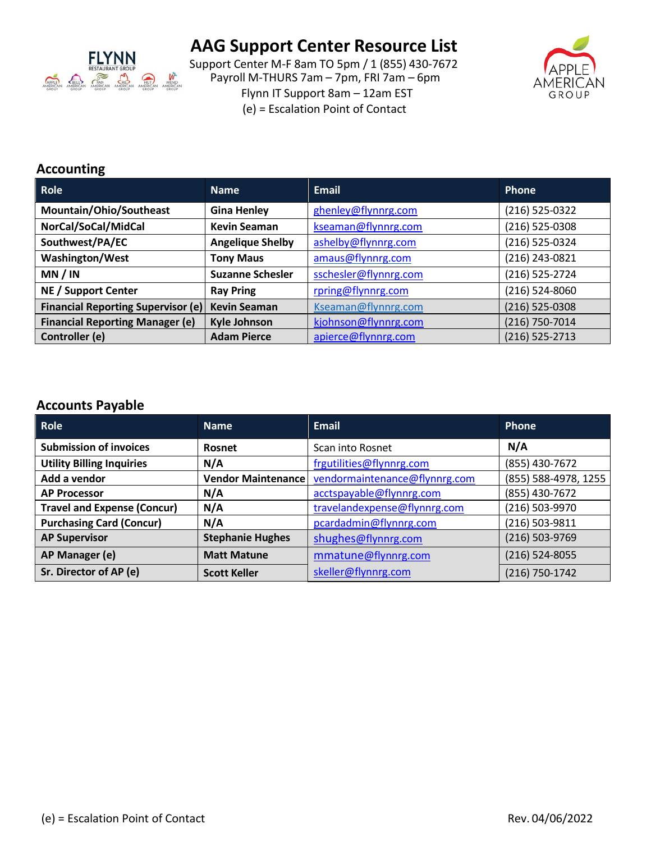

Support Center M-F 8am TO 5pm / 1 (855) 430-7672 Payroll M-THURS 7am – 7pm, FRI 7am – 6pm Flynn IT Support 8am – 12am EST (e) = Escalation Point of Contact



### **Accounting**

| Role                                      | <b>Name</b>             | <b>Email</b>          | Phone            |
|-------------------------------------------|-------------------------|-----------------------|------------------|
| Mountain/Ohio/Southeast                   | <b>Gina Henley</b>      | ghenley@flynnrg.com   | (216) 525-0322   |
| NorCal/SoCal/MidCal                       | <b>Kevin Seaman</b>     | kseaman@flynnrg.com   | (216) 525-0308   |
| Southwest/PA/EC                           | <b>Angelique Shelby</b> | ashelby@flynnrg.com   | (216) 525-0324   |
| <b>Washington/West</b>                    | <b>Tony Maus</b>        | amaus@flynnrg.com     | (216) 243-0821   |
| MN / IN                                   | <b>Suzanne Schesler</b> | sschesler@flynnrg.com | (216) 525-2724   |
| NE / Support Center                       | <b>Ray Pring</b>        | rpring@flynnrg.com    | (216) 524-8060   |
| <b>Financial Reporting Supervisor (e)</b> | <b>Kevin Seaman</b>     | Kseaman@flynnrg.com   | (216) 525-0308   |
| <b>Financial Reporting Manager (e)</b>    | <b>Kyle Johnson</b>     | kjohnson@flynnrg.com  | (216) 750-7014   |
| Controller (e)                            | <b>Adam Pierce</b>      | apierce@flynnrg.com   | $(216)$ 525-2713 |

### **Accounts Payable**

| <b>Role</b>                        | <b>Name</b>             | <b>Email</b>                  | <b>Phone</b>         |
|------------------------------------|-------------------------|-------------------------------|----------------------|
| <b>Submission of invoices</b>      | <b>Rosnet</b>           | Scan into Rosnet              | N/A                  |
| <b>Utility Billing Inquiries</b>   | N/A                     | frgutilities@flynnrg.com      | (855) 430-7672       |
| Add a vendor                       | Vendor Maintenance      | vendormaintenance@flynnrg.com | (855) 588-4978, 1255 |
| <b>AP Processor</b>                | N/A                     | acctspayable@flynnrg.com      | (855) 430-7672       |
| <b>Travel and Expense (Concur)</b> | N/A                     | travelandexpense@flynnrg.com  | (216) 503-9970       |
| <b>Purchasing Card (Concur)</b>    | N/A                     | pcardadmin@flynnrg.com        | (216) 503-9811       |
| <b>AP Supervisor</b>               | <b>Stephanie Hughes</b> | shughes@flynnrg.com           | (216) 503-9769       |
| AP Manager (e)                     | <b>Matt Matune</b>      | mmatune@flynnrg.com           | $(216)$ 524-8055     |
| Sr. Director of AP (e)             | <b>Scott Keller</b>     | skeller@flynnrg.com           | (216) 750-1742       |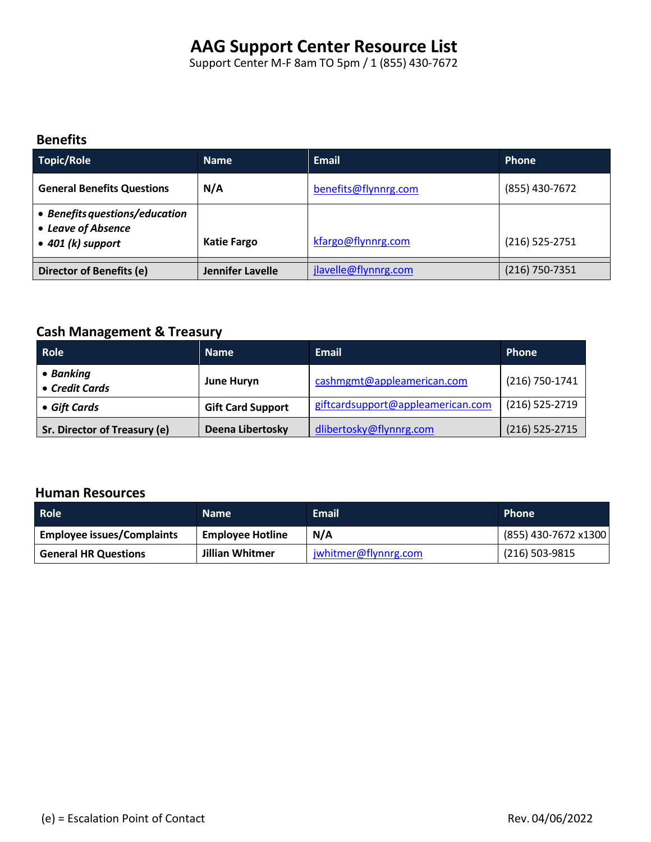Support Center M-F 8am TO 5pm / 1 (855) 430-7672

### **Benefits**

| Topic/Role                                                                        | <b>Name</b>        | <b>Email</b>         | <b>Phone</b>     |
|-----------------------------------------------------------------------------------|--------------------|----------------------|------------------|
| <b>General Benefits Questions</b>                                                 | N/A                | benefits@flynnrg.com | (855) 430-7672   |
| • Benefits questions/education<br>• Leave of Absence<br>$\bullet$ 401 (k) support | <b>Katie Fargo</b> | kfargo@flynnrg.com   | $(216)$ 525-2751 |
|                                                                                   |                    |                      |                  |
| Director of Benefits (e)                                                          | Jennifer Lavelle   | jlavelle@flynnrg.com | (216) 750-7351   |

## **Cash Management & Treasury**

| Role <sup></sup>             | <b>Name</b>              | Email                             | Phone            |
|------------------------------|--------------------------|-----------------------------------|------------------|
| • Banking<br>• Credit Cards  | <b>June Huryn</b>        | cashmgmt@appleamerican.com        | (216) 750-1741   |
| • Gift Cards                 | <b>Gift Card Support</b> | giftcardsupport@appleamerican.com | (216) 525-2719   |
| Sr. Director of Treasury (e) | Deena Libertosky         | dlibertosky@flynnrg.com           | $(216)$ 525-2715 |

#### **Human Resources**

| <b>Role</b>                       | <b>Name</b>             | <b>Email</b>         | <b>Phone</b>         |
|-----------------------------------|-------------------------|----------------------|----------------------|
| <b>Employee issues/Complaints</b> | <b>Employee Hotline</b> | N/A                  | (855) 430-7672 x1300 |
| <b>General HR Questions</b>       | Jillian Whitmer         | jwhitmer@flynnrg.com | (216) 503-9815       |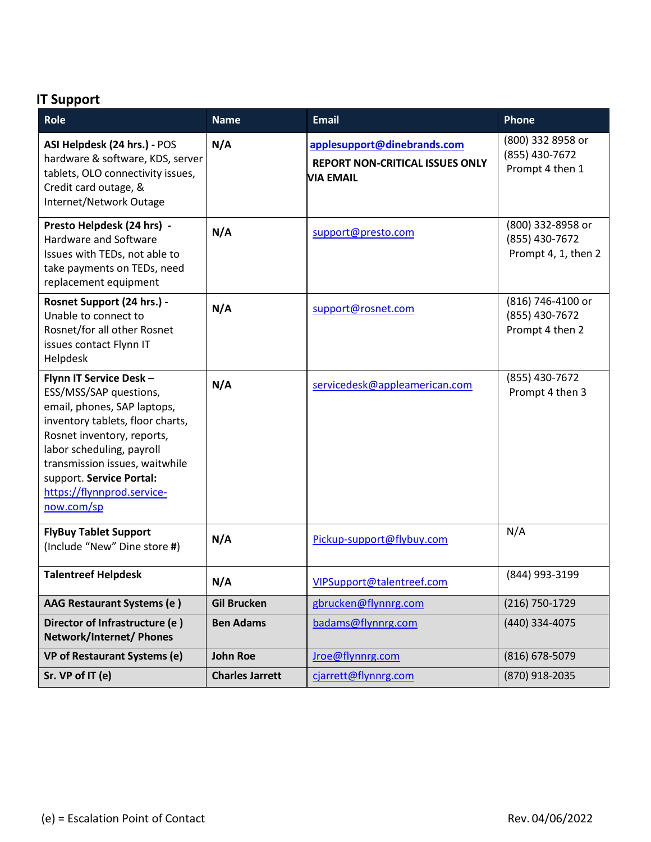## **IT Support**

| Role                                                                                                                                                                                                                                                                                     | Name                   | <b>Email</b>                                                                              | Phone                                                      |
|------------------------------------------------------------------------------------------------------------------------------------------------------------------------------------------------------------------------------------------------------------------------------------------|------------------------|-------------------------------------------------------------------------------------------|------------------------------------------------------------|
| ASI Helpdesk (24 hrs.) - POS<br>hardware & software, KDS, server<br>tablets, OLO connectivity issues,<br>Credit card outage, &<br>Internet/Network Outage                                                                                                                                | N/A                    | applesupport@dinebrands.com<br><b>REPORT NON-CRITICAL ISSUES ONLY</b><br><b>VIA EMAIL</b> | (800) 332 8958 or<br>(855) 430-7672<br>Prompt 4 then 1     |
| Presto Helpdesk (24 hrs) -<br><b>Hardware and Software</b><br>Issues with TEDs, not able to<br>take payments on TEDs, need<br>replacement equipment                                                                                                                                      | N/A                    | support@presto.com                                                                        | (800) 332-8958 or<br>(855) 430-7672<br>Prompt 4, 1, then 2 |
| Rosnet Support (24 hrs.) -<br>Unable to connect to<br>Rosnet/for all other Rosnet<br>issues contact Flynn IT<br>Helpdesk                                                                                                                                                                 | N/A                    | support@rosnet.com                                                                        | (816) 746-4100 or<br>(855) 430-7672<br>Prompt 4 then 2     |
| Flynn IT Service Desk-<br>ESS/MSS/SAP questions,<br>email, phones, SAP laptops,<br>inventory tablets, floor charts,<br>Rosnet inventory, reports,<br>labor scheduling, payroll<br>transmission issues, waitwhile<br>support. Service Portal:<br>https://flynnprod.service-<br>now.com/sp | N/A                    | servicedesk@appleamerican.com                                                             | (855) 430-7672<br>Prompt 4 then 3                          |
| <b>FlyBuy Tablet Support</b><br>(Include "New" Dine store #)                                                                                                                                                                                                                             | N/A                    | Pickup-support@flybuy.com                                                                 | N/A                                                        |
| <b>Talentreef Helpdesk</b>                                                                                                                                                                                                                                                               | N/A                    | VIPSupport@talentreef.com                                                                 | (844) 993-3199                                             |
| AAG Restaurant Systems (e)                                                                                                                                                                                                                                                               | <b>Gil Brucken</b>     | gbrucken@flynnrg.com                                                                      | (216) 750-1729                                             |
| Director of Infrastructure (e)<br>Network/Internet/ Phones                                                                                                                                                                                                                               | <b>Ben Adams</b>       | badams@flynnrg.com                                                                        | (440) 334-4075                                             |
| <b>VP of Restaurant Systems (e)</b>                                                                                                                                                                                                                                                      | <b>John Roe</b>        | Jroe@flynnrg.com                                                                          | (816) 678-5079                                             |
| Sr. VP of IT (e)                                                                                                                                                                                                                                                                         | <b>Charles Jarrett</b> | cjarrett@flynnrg.com                                                                      | (870) 918-2035                                             |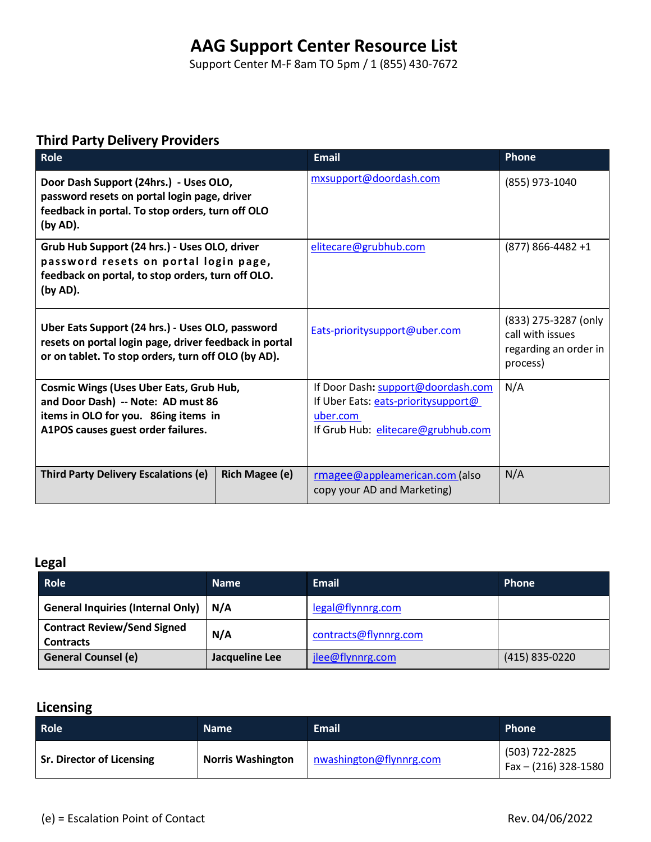Support Center M-F 8am TO 5pm / 1 (855) 430-7672

## **Third Party Delivery Providers**

| <b>Role</b>                                                                                                                                                        |                       | <b>Email</b>                                                                                                                | Phone                                                                         |
|--------------------------------------------------------------------------------------------------------------------------------------------------------------------|-----------------------|-----------------------------------------------------------------------------------------------------------------------------|-------------------------------------------------------------------------------|
| Door Dash Support (24hrs.) - Uses OLO,<br>password resets on portal login page, driver<br>feedback in portal. To stop orders, turn off OLO<br>(by AD).             |                       | mxsupport@doordash.com                                                                                                      | (855) 973-1040                                                                |
| Grub Hub Support (24 hrs.) - Uses OLO, driver<br>password resets on portal login page,<br>feedback on portal, to stop orders, turn off OLO.<br>(by AD).            |                       | elitecare@grubhub.com                                                                                                       | $(877)$ 866-4482 +1                                                           |
| Uber Eats Support (24 hrs.) - Uses OLO, password<br>resets on portal login page, driver feedback in portal<br>or on tablet. To stop orders, turn off OLO (by AD).  |                       | Eats-prioritysupport@uber.com                                                                                               | (833) 275-3287 (only<br>call with issues<br>regarding an order in<br>process) |
| <b>Cosmic Wings (Uses Uber Eats, Grub Hub,</b><br>and Door Dash) -- Note: AD must 86<br>items in OLO for you. 86ing items in<br>A1POS causes guest order failures. |                       | If Door Dash: support@doordash.com<br>If Uber Eats: eats-prioritysupport@<br>uber.com<br>If Grub Hub: elitecare@grubhub.com | N/A                                                                           |
| <b>Third Party Delivery Escalations (e)</b>                                                                                                                        | <b>Rich Magee (e)</b> | rmagee@appleamerican.com (also<br>copy your AD and Marketing)                                                               | N/A                                                                           |

### **Legal**

| <b>Role</b>                                            | <b>Name</b>    | <b>Email</b>          | Phone          |
|--------------------------------------------------------|----------------|-----------------------|----------------|
| <b>General Inquiries (Internal Only)</b>               | N/A            | legal@flynnrg.com     |                |
| <b>Contract Review/Send Signed</b><br><b>Contracts</b> | N/A            | contracts@flynnrg.com |                |
| <b>General Counsel (e)</b>                             | Jacqueline Lee | jlee@flynnrg.com      | (415) 835-0220 |

## **Licensing**

| <b>Role</b>                      | <b>Name</b>              | <b>Email</b>            | <b>Phone</b>                           |
|----------------------------------|--------------------------|-------------------------|----------------------------------------|
| <b>Sr. Director of Licensing</b> | <b>Norris Washington</b> | nwashington@flynnrg.com | (503) 722-2825<br>Fax - (216) 328-1580 |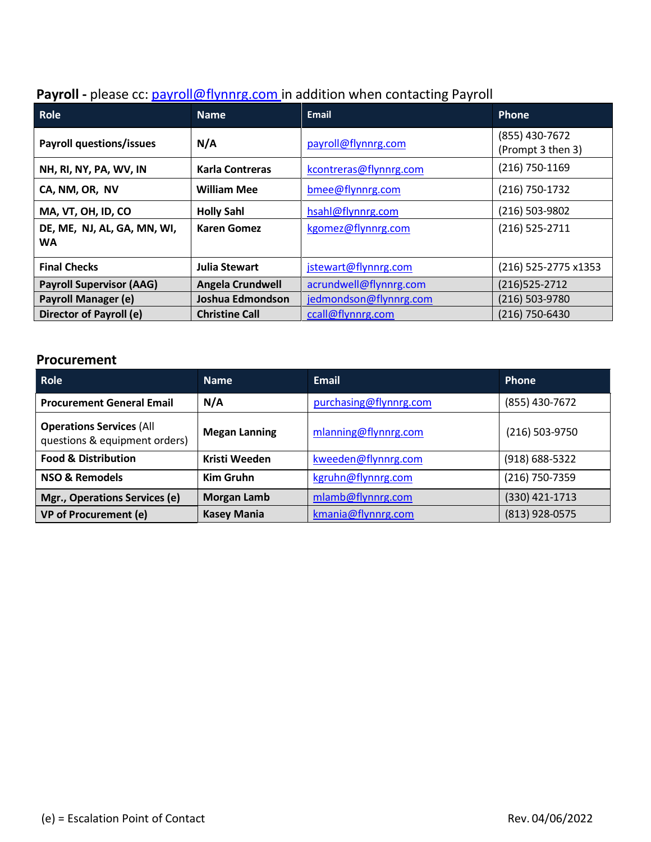| Payroll - please cc: payroll@flynnrg.com in addition when contacting Payroll |  |  |  |  |  |
|------------------------------------------------------------------------------|--|--|--|--|--|
|------------------------------------------------------------------------------|--|--|--|--|--|

| Role                                     | <b>Name</b>             | <b>Email</b>           | <b>Phone</b>                        |
|------------------------------------------|-------------------------|------------------------|-------------------------------------|
| <b>Payroll questions/issues</b>          | N/A                     | payroll@flynnrg.com    | (855) 430-7672<br>(Prompt 3 then 3) |
| NH, RI, NY, PA, WV, IN                   | <b>Karla Contreras</b>  | kcontreras@flynnrg.com | (216) 750-1169                      |
| CA, NM, OR, NV                           | <b>William Mee</b>      | bmee@flynnrg.com       | (216) 750-1732                      |
| MA, VT, OH, ID, CO                       | <b>Holly Sahl</b>       | hsahl@flynnrg.com      | (216) 503-9802                      |
| DE, ME, NJ, AL, GA, MN, WI,<br><b>WA</b> | <b>Karen Gomez</b>      | kgomez@flynnrg.com     | $(216)$ 525-2711                    |
| <b>Final Checks</b>                      | <b>Julia Stewart</b>    | jstewart@flynnrg.com   | (216) 525-2775 x1353                |
| <b>Payroll Supervisor (AAG)</b>          | <b>Angela Crundwell</b> | acrundwell@flynnrg.com | $(216)525 - 2712$                   |
| <b>Payroll Manager (e)</b>               | Joshua Edmondson        | jedmondson@flynnrg.com | (216) 503-9780                      |
| Director of Payroll (e)                  | <b>Christine Call</b>   | ccall@flynnrg.com      | (216) 750-6430                      |

### **Procurement**

| <b>Role</b>                                                      | <b>Name</b>          | Email                  | <b>Phone</b>     |
|------------------------------------------------------------------|----------------------|------------------------|------------------|
| <b>Procurement General Email</b>                                 | N/A                  | purchasing@flynnrg.com | (855) 430-7672   |
| <b>Operations Services (All</b><br>questions & equipment orders) | <b>Megan Lanning</b> | mlanning@flynnrg.com   | $(216)$ 503-9750 |
| <b>Food &amp; Distribution</b>                                   | Kristi Weeden        | kweeden@flynnrg.com    | (918) 688-5322   |
| NSO & Remodels                                                   | <b>Kim Gruhn</b>     | kgruhn@flynnrg.com     | (216) 750-7359   |
| Mgr., Operations Services (e)                                    | <b>Morgan Lamb</b>   | mlamb@flynnrg.com      | (330) 421-1713   |
| <b>VP of Procurement (e)</b>                                     | <b>Kasey Mania</b>   | kmania@flynnrg.com     | $(813)$ 928-0575 |